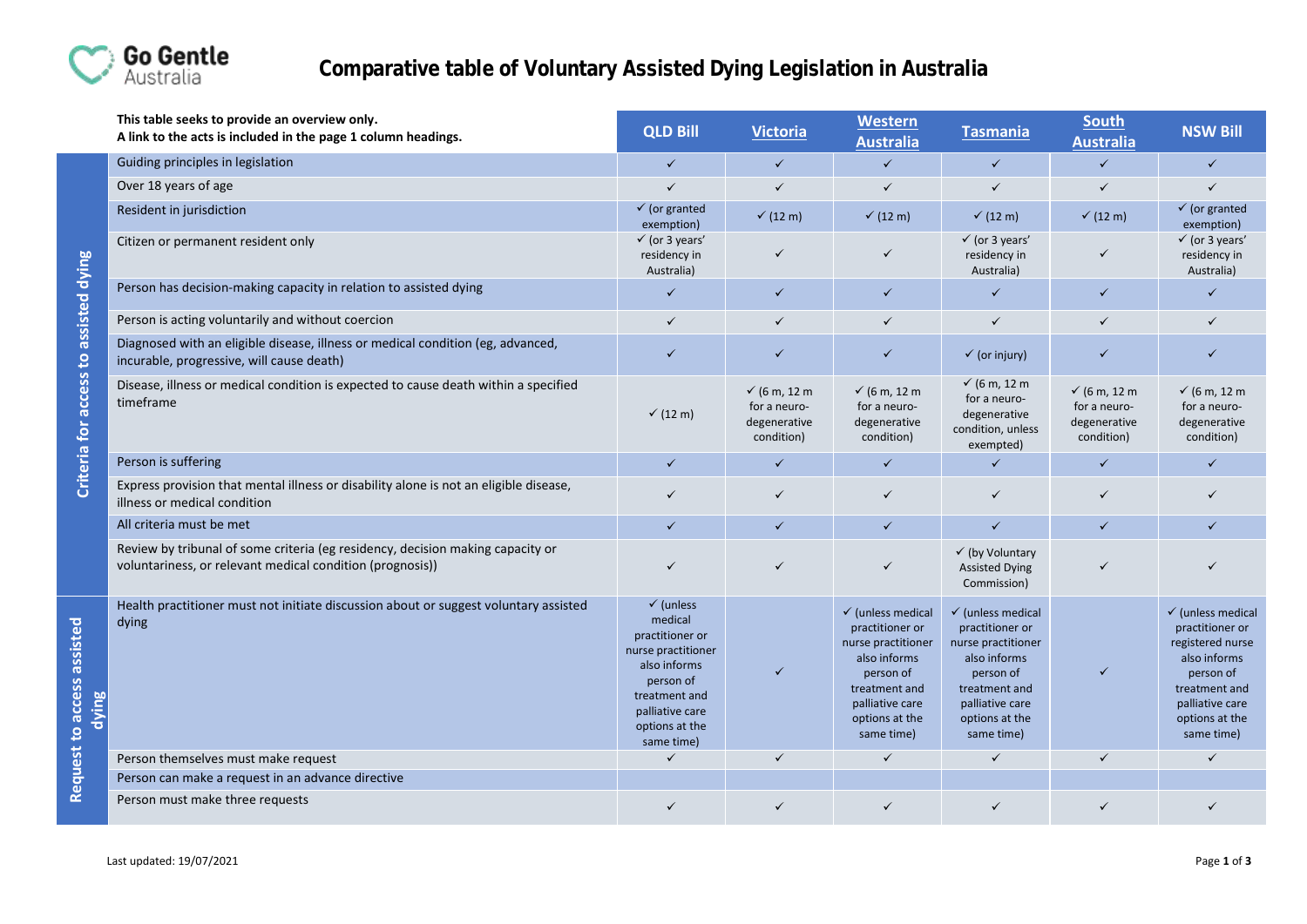

|                                       | This table seeks to provide an overview only.<br>A link to the acts is included in the page 1 column headings.                              | <b>QLD Bill</b>                                                                                                                                                           | <b>Victoria</b>                                              | Western<br><b>Australia</b>                                                                                                                                            | <b>Tasmania</b>                                                                                                                                                        | <b>South</b><br><b>Australia</b>                           | <b>NSW Bill</b>                                                                                                                                                      |
|---------------------------------------|---------------------------------------------------------------------------------------------------------------------------------------------|---------------------------------------------------------------------------------------------------------------------------------------------------------------------------|--------------------------------------------------------------|------------------------------------------------------------------------------------------------------------------------------------------------------------------------|------------------------------------------------------------------------------------------------------------------------------------------------------------------------|------------------------------------------------------------|----------------------------------------------------------------------------------------------------------------------------------------------------------------------|
|                                       | Guiding principles in legislation                                                                                                           | $\checkmark$                                                                                                                                                              | $\checkmark$                                                 | $\checkmark$                                                                                                                                                           | $\checkmark$                                                                                                                                                           | $\checkmark$                                               | $\checkmark$                                                                                                                                                         |
|                                       | Over 18 years of age                                                                                                                        | $\checkmark$                                                                                                                                                              | $\checkmark$                                                 | $\checkmark$                                                                                                                                                           | $\checkmark$                                                                                                                                                           | $\checkmark$                                               | $\checkmark$                                                                                                                                                         |
|                                       | Resident in jurisdiction                                                                                                                    | $\checkmark$ (or granted<br>exemption)                                                                                                                                    | $\checkmark$ (12 m)                                          | $\checkmark$ (12 m)                                                                                                                                                    | $\checkmark$ (12 m)                                                                                                                                                    | $\checkmark$ (12 m)                                        | $\checkmark$ (or granted<br>exemption)                                                                                                                               |
|                                       | Citizen or permanent resident only                                                                                                          | $\checkmark$ (or 3 years'<br>residency in<br>Australia)                                                                                                                   | $\checkmark$                                                 | ✓                                                                                                                                                                      | $\checkmark$ (or 3 years'<br>residency in<br>Australia)                                                                                                                | ✓                                                          | $\checkmark$ (or 3 years'<br>residency in<br>Australia)                                                                                                              |
|                                       | Person has decision-making capacity in relation to assisted dying                                                                           | $\checkmark$                                                                                                                                                              | $\checkmark$                                                 | $\checkmark$                                                                                                                                                           | $\checkmark$                                                                                                                                                           | $\checkmark$                                               | ✓                                                                                                                                                                    |
|                                       | Person is acting voluntarily and without coercion                                                                                           | $\checkmark$                                                                                                                                                              | $\checkmark$                                                 | $\checkmark$                                                                                                                                                           | ✓                                                                                                                                                                      | $\checkmark$                                               | ✓                                                                                                                                                                    |
| Criteria for access to assisted dying | Diagnosed with an eligible disease, illness or medical condition (eg, advanced,<br>incurable, progressive, will cause death)                | $\checkmark$                                                                                                                                                              | $\checkmark$                                                 | $\checkmark$                                                                                                                                                           | $\checkmark$ (or injury)                                                                                                                                               | ✓                                                          | ✓                                                                                                                                                                    |
|                                       | Disease, illness or medical condition is expected to cause death within a specified<br>timeframe                                            | $\checkmark$ (12 m)                                                                                                                                                       | $√$ (6 m, 12 m<br>for a neuro-<br>degenerative<br>condition) | √ (6 m, 12 m<br>for a neuro-<br>degenerative<br>condition)                                                                                                             | √ (6 m, 12 m<br>for a neuro-<br>degenerative<br>condition, unless<br>exempted)                                                                                         | √ (6 m, 12 m<br>for a neuro-<br>degenerative<br>condition) | $\checkmark$ (6 m, 12 m<br>for a neuro-<br>degenerative<br>condition)                                                                                                |
|                                       | Person is suffering                                                                                                                         | $\checkmark$                                                                                                                                                              | $\checkmark$                                                 | $\checkmark$                                                                                                                                                           | $\checkmark$                                                                                                                                                           | $\checkmark$                                               | ✓                                                                                                                                                                    |
|                                       | Express provision that mental illness or disability alone is not an eligible disease,<br>illness or medical condition                       | $\checkmark$                                                                                                                                                              | $\checkmark$                                                 | $\checkmark$                                                                                                                                                           | $\checkmark$                                                                                                                                                           | $\checkmark$                                               |                                                                                                                                                                      |
|                                       | All criteria must be met                                                                                                                    | $\checkmark$                                                                                                                                                              | $\checkmark$                                                 | $\checkmark$                                                                                                                                                           | $\checkmark$                                                                                                                                                           | $\checkmark$                                               | ✓                                                                                                                                                                    |
|                                       | Review by tribunal of some criteria (eg residency, decision making capacity or<br>voluntariness, or relevant medical condition (prognosis)) | $\checkmark$                                                                                                                                                              | $\checkmark$                                                 | ✓                                                                                                                                                                      | √ (by Voluntary<br><b>Assisted Dying</b><br>Commission)                                                                                                                |                                                            | ✓                                                                                                                                                                    |
| Request to access assisted<br>dying   | Health practitioner must not initiate discussion about or suggest voluntary assisted<br>dying                                               | $\checkmark$ (unless<br>medical<br>practitioner or<br>nurse practitioner<br>also informs<br>person of<br>treatment and<br>palliative care<br>options at the<br>same time) | $\checkmark$                                                 | $\checkmark$ (unless medical<br>practitioner or<br>nurse practitioner<br>also informs<br>person of<br>treatment and<br>palliative care<br>options at the<br>same time) | $\checkmark$ (unless medical<br>practitioner or<br>nurse practitioner<br>also informs<br>person of<br>treatment and<br>palliative care<br>options at the<br>same time) | $\checkmark$                                               | $\checkmark$ (unless medical<br>practitioner or<br>registered nurse<br>also informs<br>person of<br>treatment and<br>palliative care<br>options at the<br>same time) |
|                                       | Person themselves must make request                                                                                                         | $\checkmark$                                                                                                                                                              | $\checkmark$                                                 | $\checkmark$                                                                                                                                                           | $\checkmark$                                                                                                                                                           | ✓                                                          | ✓                                                                                                                                                                    |
|                                       | Person can make a request in an advance directive                                                                                           |                                                                                                                                                                           |                                                              |                                                                                                                                                                        |                                                                                                                                                                        |                                                            |                                                                                                                                                                      |
|                                       | Person must make three requests                                                                                                             | ✓                                                                                                                                                                         | ✓                                                            | ✓                                                                                                                                                                      | ✓                                                                                                                                                                      |                                                            | ✓                                                                                                                                                                    |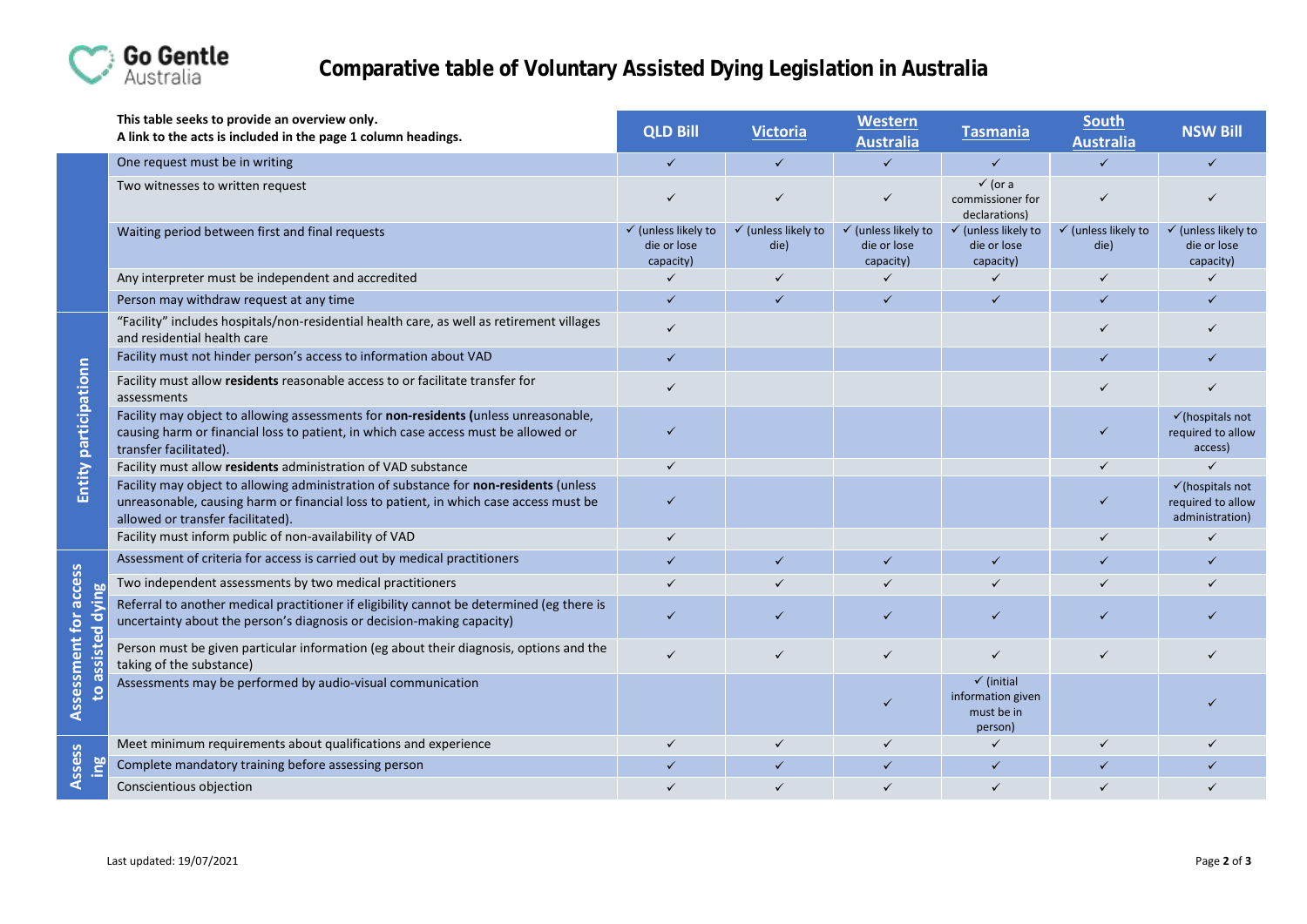

|                                                    | This table seeks to provide an overview only.<br>A link to the acts is included in the page 1 column headings.                                                                                                      | <b>QLD Bill</b>                                            | <b>Victoria</b>                        | <b>Western</b><br><b>Australia</b>                         | <b>Tasmania</b>                                                     | <b>South</b><br><b>Australia</b>       | <b>NSW Bill</b>                                                     |
|----------------------------------------------------|---------------------------------------------------------------------------------------------------------------------------------------------------------------------------------------------------------------------|------------------------------------------------------------|----------------------------------------|------------------------------------------------------------|---------------------------------------------------------------------|----------------------------------------|---------------------------------------------------------------------|
|                                                    | One request must be in writing                                                                                                                                                                                      | $\checkmark$                                               | $\checkmark$                           | $\checkmark$                                               | $\checkmark$                                                        | $\checkmark$                           | $\checkmark$                                                        |
|                                                    | Two witnesses to written request                                                                                                                                                                                    |                                                            | $\checkmark$                           | $\checkmark$                                               | $\checkmark$ (or a<br>commissioner for<br>declarations)             |                                        |                                                                     |
|                                                    | Waiting period between first and final requests                                                                                                                                                                     | $\checkmark$ (unless likely to<br>die or lose<br>capacity) | $\checkmark$ (unless likely to<br>die) | $\checkmark$ (unless likely to<br>die or lose<br>capacity) | $\checkmark$ (unless likely to<br>die or lose<br>capacity)          | $\checkmark$ (unless likely to<br>die) | $\checkmark$ (unless likely to<br>die or lose<br>capacity)          |
|                                                    | Any interpreter must be independent and accredited                                                                                                                                                                  | ✓                                                          | $\checkmark$                           | $\checkmark$                                               | $\checkmark$                                                        | $\checkmark$                           | $\checkmark$                                                        |
|                                                    | Person may withdraw request at any time                                                                                                                                                                             | $\checkmark$                                               | $\checkmark$                           | $\checkmark$                                               |                                                                     | $\checkmark$                           | $\checkmark$                                                        |
| Entity participationn                              | "Facility" includes hospitals/non-residential health care, as well as retirement villages<br>and residential health care                                                                                            | $\checkmark$                                               |                                        |                                                            |                                                                     |                                        |                                                                     |
|                                                    | Facility must not hinder person's access to information about VAD                                                                                                                                                   | $\checkmark$                                               |                                        |                                                            |                                                                     |                                        |                                                                     |
|                                                    | Facility must allow residents reasonable access to or facilitate transfer for<br>assessments                                                                                                                        |                                                            |                                        |                                                            |                                                                     |                                        |                                                                     |
|                                                    | Facility may object to allowing assessments for non-residents (unless unreasonable,<br>causing harm or financial loss to patient, in which case access must be allowed or<br>transfer facilitated).                 |                                                            |                                        |                                                            |                                                                     |                                        | $\checkmark$ (hospitals not<br>required to allow<br>access)         |
|                                                    | Facility must allow residents administration of VAD substance                                                                                                                                                       | $\checkmark$                                               |                                        |                                                            |                                                                     |                                        | $\checkmark$                                                        |
|                                                    | Facility may object to allowing administration of substance for non-residents (unless<br>unreasonable, causing harm or financial loss to patient, in which case access must be<br>allowed or transfer facilitated). |                                                            |                                        |                                                            |                                                                     |                                        | $\checkmark$ (hospitals not<br>required to allow<br>administration) |
|                                                    | Facility must inform public of non-availability of VAD                                                                                                                                                              | $\checkmark$                                               |                                        |                                                            |                                                                     | $\checkmark$                           | $\checkmark$                                                        |
| Assessment for access<br>Ρğ<br>ξ<br>$\overline{c}$ | Assessment of criteria for access is carried out by medical practitioners                                                                                                                                           | $\checkmark$                                               | $\checkmark$                           | $\checkmark$                                               | $\checkmark$                                                        | $\checkmark$                           | $\checkmark$                                                        |
|                                                    | Two independent assessments by two medical practitioners                                                                                                                                                            | $\checkmark$                                               | $\checkmark$                           | $\checkmark$                                               |                                                                     |                                        |                                                                     |
|                                                    | Referral to another medical practitioner if eligibility cannot be determined (eg there is<br>uncertainty about the person's diagnosis or decision-making capacity)                                                  |                                                            | ✓                                      | $\checkmark$                                               | ✓                                                                   |                                        |                                                                     |
|                                                    | Person must be given particular information (eg about their diagnosis, options and the<br>taking of the substance)                                                                                                  | $\checkmark$                                               | $\checkmark$                           |                                                            | ✓                                                                   | $\checkmark$                           |                                                                     |
|                                                    | Assessments may be performed by audio-visual communication                                                                                                                                                          |                                                            |                                        |                                                            | $\checkmark$ (initial<br>information given<br>must be in<br>person) |                                        |                                                                     |
| Assess                                             | Meet minimum requirements about qualifications and experience                                                                                                                                                       | $\checkmark$                                               | $\checkmark$                           | $\checkmark$                                               | $\checkmark$                                                        | $\checkmark$                           |                                                                     |
|                                                    | Complete mandatory training before assessing person                                                                                                                                                                 | $\checkmark$                                               | $\checkmark$                           | $\checkmark$                                               | $\checkmark$                                                        | $\checkmark$                           |                                                                     |
|                                                    | Conscientious objection                                                                                                                                                                                             |                                                            | $\checkmark$                           |                                                            |                                                                     |                                        |                                                                     |